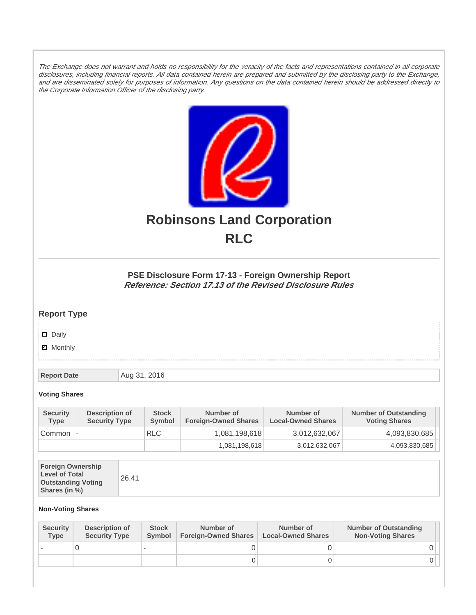The Exchange does not warrant and holds no responsibility for the veracity of the facts and representations contained in all corporate disclosures, including financial reports. All data contained herein are prepared and submitted by the disclosing party to the Exchange, and are disseminated solely for purposes of information. Any questions on the data contained herein should be addressed directly to the Corporate Information Officer of the disclosing party.



# **Robinsons Land Corporation RLC**

## **PSE Disclosure Form 17-13 - Foreign Ownership Report Reference: Section 17.13 of the Revised Disclosure Rules**

## **Report Type**

Daily

**Ø** Monthly

**Report Date Aug 31, 2016** 

#### **Voting Shares**

| <b>Security</b><br><b>Type</b> | Description of<br><b>Security Type</b> | <b>Stock</b><br><b>Symbol</b> | Number of<br><b>Foreign-Owned Shares</b> | Number of<br><b>Local-Owned Shares</b> | <b>Number of Outstanding</b><br><b>Voting Shares</b> |
|--------------------------------|----------------------------------------|-------------------------------|------------------------------------------|----------------------------------------|------------------------------------------------------|
| Common                         |                                        | <b>RLC</b>                    | 1,081,198,618                            | 3,012,632,067                          | 4,093,830,685                                        |
|                                |                                        |                               | 1,081,198,618                            | 3,012,632,067                          | 4,093,830,685                                        |

| <b>Foreign Ownership</b><br><b>Level of Total</b><br><b>Outstanding Voting</b><br>Shares (in %) |
|-------------------------------------------------------------------------------------------------|
|-------------------------------------------------------------------------------------------------|

### **Non-Voting Shares**

| <b>Security</b><br>Type | Description of<br><b>Security Type</b> | <b>Stock</b><br><b>Symbol</b> | Number of<br><b>Foreign-Owned Shares</b> | Number of<br><b>Local-Owned Shares</b> | <b>Number of Outstanding</b><br><b>Non-Voting Shares</b> |
|-------------------------|----------------------------------------|-------------------------------|------------------------------------------|----------------------------------------|----------------------------------------------------------|
|                         |                                        |                               |                                          |                                        |                                                          |
|                         |                                        |                               |                                          |                                        |                                                          |